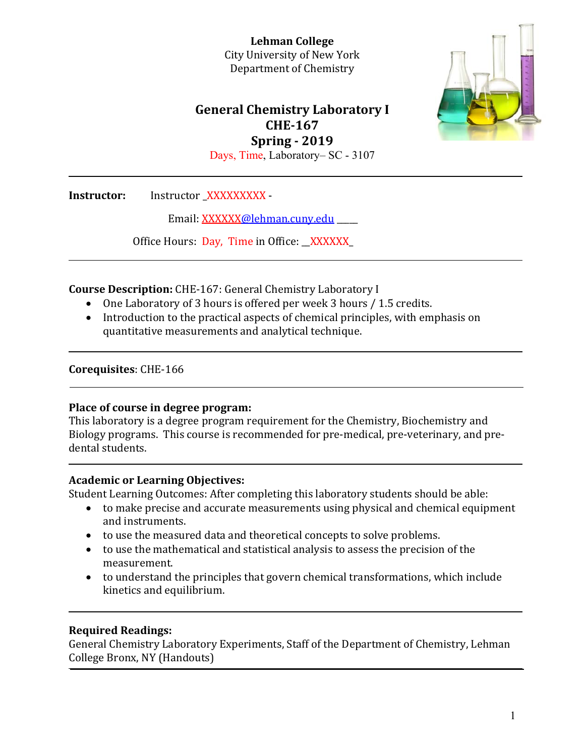

# **General Chemistry Laboratory I CHE‐167 Spring ‐ 2019** Days, Time, Laboratory– SC - 3107

**Instructor:** Instructor XXXXXXXXX -

Email: XXXXXX@lehman.cuny.edu

Office Hours: Day, Time in Office: XXXXXX

**Course Description:** CHE-167: General Chemistry Laboratory I

- One Laboratory of 3 hours is offered per week 3 hours / 1.5 credits.
- Introduction to the practical aspects of chemical principles, with emphasis on quantitative measurements and analytical technique.

### **Corequisites**: CHE‐166

### **Place of course in degree program:**

This laboratory is a degree program requirement for the Chemistry, Biochemistry and Biology programs. This course is recommended for pre-medical, pre-veterinary, and predental students.

# **Academic or Learning Objectives:**

Student Learning Outcomes: After completing this laboratory students should be able:

- $\bullet$  to make precise and accurate measurements using physical and chemical equipment and instruments.
- to use the measured data and theoretical concepts to solve problems.
- $\bullet$  to use the mathematical and statistical analysis to assess the precision of the measurement.
- $\bullet$  to understand the principles that govern chemical transformations, which include kinetics and equilibrium.

# **Required Readings:**

General Chemistry Laboratory Experiments, Staff of the Department of Chemistry, Lehman College Bronx, NY (Handouts)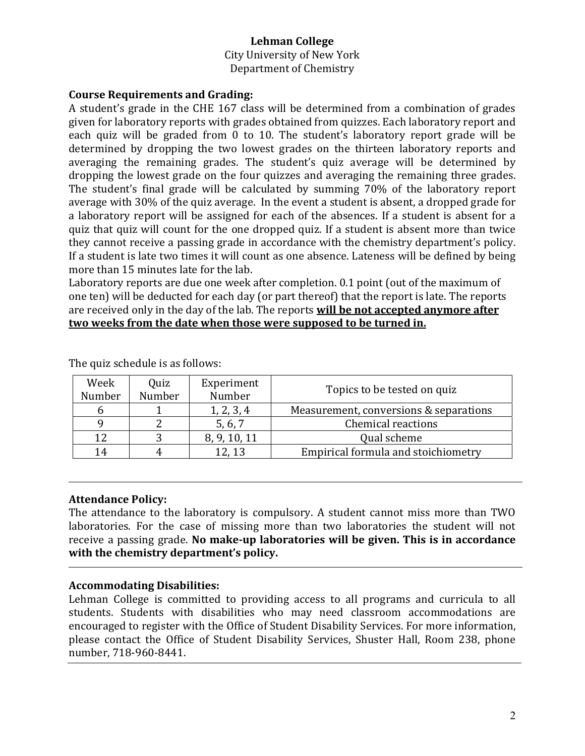City University of New York Department of Chemistry

### **Course Requirements and Grading:**

A student's grade in the CHE 167 class will be determined from a combination of grades given for laboratory reports with grades obtained from quizzes. Each laboratory report and each quiz will be graded from 0 to 10. The student's laboratory report grade will be determined by dropping the two lowest grades on the thirteen laboratory reports and averaging the remaining grades. The student's quiz average will be determined by dropping the lowest grade on the four quizzes and averaging the remaining three grades. The student's final grade will be calculated by summing 70% of the laboratory report average with 30% of the quiz average. In the event a student is absent, a dropped grade for a laboratory report will be assigned for each of the absences. If a student is absent for a quiz that quiz will count for the one dropped quiz. If a student is absent more than twice they cannot receive a passing grade in accordance with the chemistry department's policy. If a student is late two times it will count as one absence. Lateness will be defined by being more than 15 minutes late for the lab.

Laboratory reports are due one week after completion. 0.1 point (out of the maximum of one ten) will be deducted for each day (or part thereof) that the report is late. The reports are received only in the day of the lab. The reports **will be not accepted anymore after two weeks from the date when those were supposed to be turned in.**

| Week<br>Number | Quiz<br>Number | Experiment<br>Number | Topics to be tested on quiz            |  |  |
|----------------|----------------|----------------------|----------------------------------------|--|--|
|                |                | 1, 2, 3, 4           | Measurement, conversions & separations |  |  |
|                |                | 5, 6, 7              | Chemical reactions                     |  |  |
| 12             |                | 8, 9, 10, 11         | Qual scheme                            |  |  |
| 14             |                | 12,13                | Empirical formula and stoichiometry    |  |  |

The quiz schedule is as follows:

### **Attendance Policy:**

The attendance to the laboratory is compulsory. A student cannot miss more than TWO laboratories. For the case of missing more than two laboratories the student will not receive a passing grade. **No make‐up laboratories will be given. This is in accordance with the chemistry department's policy.**

### **Accommodating Disabilities:**

Lehman College is committed to providing access to all programs and curricula to all students. Students with disabilities who may need classroom accommodations are encouraged to register with the Office of Student Disability Services. For more information, please contact the Office of Student Disability Services, Shuster Hall, Room 238, phone number, 718‐960‐8441.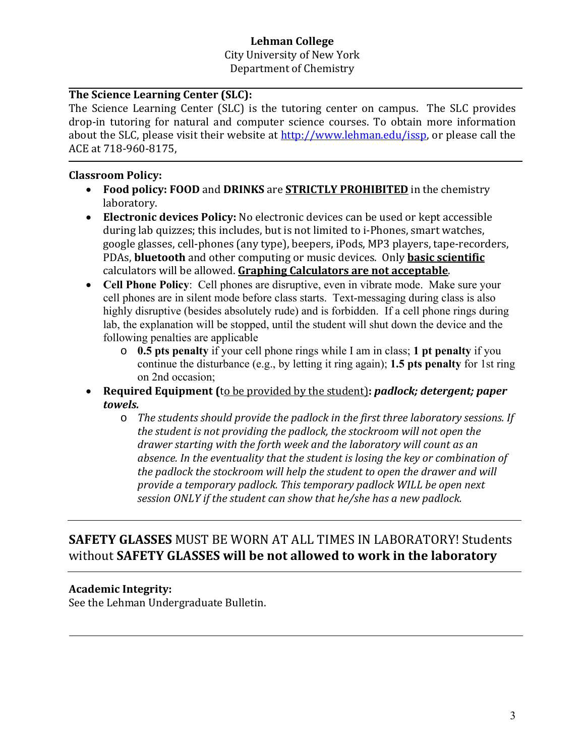City University of New York Department of Chemistry

# **The Science Learning Center (SLC):**

The Science Learning Center (SLC) is the tutoring center on campus. The SLC provides drop-in tutoring for natural and computer science courses. To obtain more information about the SLC, please visit their website at  $http://www.lehman.edu/issp, or please call the$ ACE at 718-960-8175.

### **Classroom Policy:**

- **Food policy: FOOD** and DRINKS are **STRICTLY PROHIBITED** in the chemistry laboratory.
- **Electronic devices Policy:** No electronic devices can be used or kept accessible during lab quizzes; this includes, but is not limited to i-Phones, smart watches, google glasses, cell-phones (any type), beepers, iPods, MP3 players, tape-recorders, PDAs, **bluetooth** and other computing or music devices. Only **basic scientific** calculators will be allowed. **Graphing Calculators are not acceptable**.
- **Cell Phone Policy**: Cell phones are disruptive, even in vibrate mode. Make sure your cell phones are in silent mode before class starts. Text-messaging during class is also highly disruptive (besides absolutely rude) and is forbidden. If a cell phone rings during lab, the explanation will be stopped, until the student will shut down the device and the following penalties are applicable
	- o **0.5 pts penalty** if your cell phone rings while I am in class; **1 pt penalty** if you continue the disturbance (e.g., by letting it ring again); **1.5 pts penalty** for 1st ring on 2nd occasion;
- **Required Equipment** (to be provided by the student): *padlock; detergent; paper towels.*
	- o *The students should provide the padlock in the first three laboratory sessions. If the student is not providing the padlock, the stockroom will not open the drawer starting with the forth week and the laboratory will count as an absence. In the eventuality that the student is losing the key or combination of the padlock the stockroom will help the student to open the drawer and will provide a temporary padlock. This temporary padlock WILL be open next session ONLY if the student can show that he/she has a new padlock.*

# **SAFETY GLASSES** MUST BE WORN AT ALL TIMES IN LABORATORY! Students without **SAFETY GLASSES will be not allowed to work in the laboratory**

# **Academic Integrity:**

See the Lehman Undergraduate Bulletin.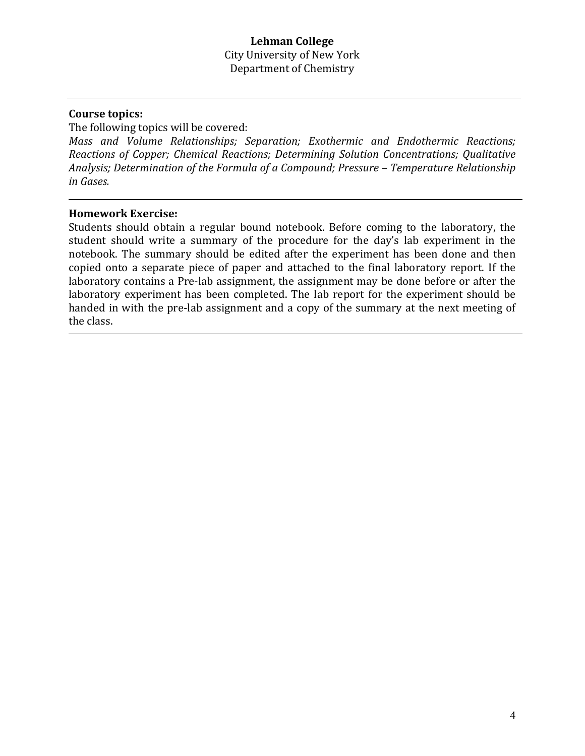### **Course topics:**

The following topics will be covered:

*Mass and Volume Relationships; Separation; Exothermic and Endothermic Reactions; Reactions of Copper; Chemical Reactions; Determining Solution Concentrations; Qualitative Analysis; Determination of the Formula of a Compound; Pressure – Temperature Relationship in Gases.*

#### **Homework Exercise:**

Students should obtain a regular bound notebook. Before coming to the laboratory, the student should write a summary of the procedure for the day's lab experiment in the notebook. The summary should be edited after the experiment has been done and then copied onto a separate piece of paper and attached to the final laboratory report. If the laboratory contains a Pre-lab assignment, the assignment may be done before or after the laboratory experiment has been completed. The lab report for the experiment should be handed in with the pre-lab assignment and a copy of the summary at the next meeting of the class.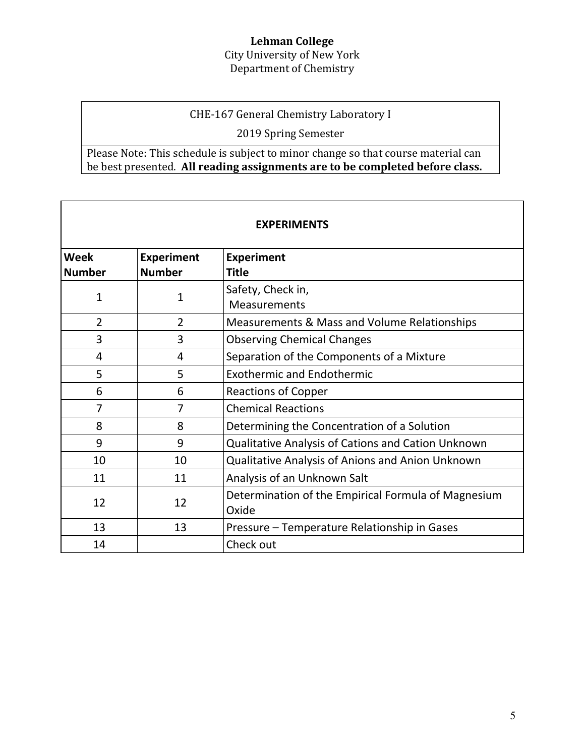## City University of New York Department of Chemistry

# CHE-167 General Chemistry Laboratory I

2019 Spring Semester

# Please Note: This schedule is subject to minor change so that course material can be best presented. **All reading assignments are to be completed before class.**

| <b>EXPERIMENTS</b> |                   |                                                     |  |  |  |  |  |  |
|--------------------|-------------------|-----------------------------------------------------|--|--|--|--|--|--|
| Week               | <b>Experiment</b> | <b>Experiment</b>                                   |  |  |  |  |  |  |
| <b>Number</b>      | <b>Number</b>     | Title                                               |  |  |  |  |  |  |
| $\mathbf{1}$       | $\mathbf{1}$      | Safety, Check in,                                   |  |  |  |  |  |  |
|                    |                   | Measurements                                        |  |  |  |  |  |  |
| $\overline{2}$     | $\overline{2}$    | Measurements & Mass and Volume Relationships        |  |  |  |  |  |  |
| 3                  | 3                 | <b>Observing Chemical Changes</b>                   |  |  |  |  |  |  |
| 4                  | 4                 | Separation of the Components of a Mixture           |  |  |  |  |  |  |
| 5                  | 5                 | <b>Exothermic and Endothermic</b>                   |  |  |  |  |  |  |
| 6                  | 6                 | <b>Reactions of Copper</b>                          |  |  |  |  |  |  |
| 7                  | 7                 | <b>Chemical Reactions</b>                           |  |  |  |  |  |  |
| 8                  | 8                 | Determining the Concentration of a Solution         |  |  |  |  |  |  |
| 9                  | 9                 | Qualitative Analysis of Cations and Cation Unknown  |  |  |  |  |  |  |
| 10                 | 10                | Qualitative Analysis of Anions and Anion Unknown    |  |  |  |  |  |  |
| 11                 | 11                | Analysis of an Unknown Salt                         |  |  |  |  |  |  |
| 12                 | 12                | Determination of the Empirical Formula of Magnesium |  |  |  |  |  |  |
|                    |                   | Oxide                                               |  |  |  |  |  |  |
| 13                 | 13                | Pressure – Temperature Relationship in Gases        |  |  |  |  |  |  |
| 14                 |                   | Check out                                           |  |  |  |  |  |  |